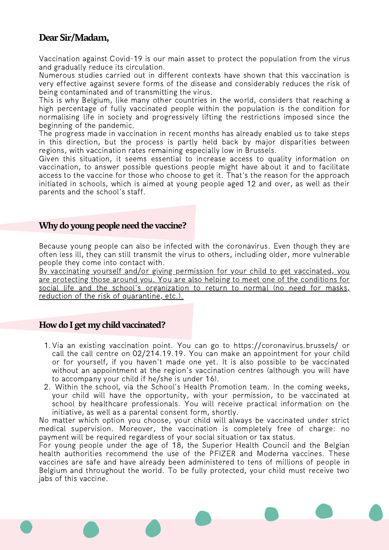# **Dear Sir/Madam,**

Vaccination against Covid-19 is our main asset to protect the population from the virus and gradually reduce its circulation.

Numerous studies carried out in different contexts have shown that this vaccination is very effective against severe forms of the disease and considerably reduces the risk of being contaminated and of transmitting the virus.

This is why Belgium, like many other countries in the world, considers that reaching a high percentage of fully vaccinated people within the population is the condition for normalising life in society and progressively lifting the restrictions imposed since the beginning of the pandemic.

The progress made in vaccination in recent months has already enabled us to take steps in this direction, but the process is partly held back by major disparities between regions, with vaccination rates remaining especially low in Brussels.

Given this situation, it seems essential to increase access to quality information on vaccination, to answer possible questions people might have about it and to facilitate access to the vaccine for those who choose to get it. That's the reason for the approach initiated in schools, which is aimed at young people aged 12 and over, as well as their parents and the school's staff.

## **Why do young peopleneed the vaccine?**

Because young people can also be infected with the coronavirus. Even though they are often less ill, they can still transmit the virus to others, including older, more vulnerable people they come into contact with.

By vaccinating yourself and/or giving permission for your child to get vaccinated, you are protecting those around you. You are also helping to meet one of the conditions for social life and the school's organization to return to normal (no need for masks, reduction of the risk of quarantine, etc.).

## **Howdo I getmy child vaccinated?**

- 1. Via an existing vaccination point. You can go to <https://coronavirus.brussels/> or call the call centre on 02/214.19.19. You can make an appointment for your child or for yourself, if you haven't made one yet. It is also possible to be vaccinated without an appointment at the region's vaccination centres (although you will have to accompany your child if he/she is under 16).
- Within the school, via the School's Health Promotion team. In the coming weeks, 2. your child will have the opportunity, with your permission, to be vaccinated at school by healthcare professionals. You will receive practical information on the initiative, as well as a parental consent form, shortly.

No matter which option you choose, your child will always be vaccinated under strict medical supervision. Moreover, the vaccination is completely free of charge: no payment will be required regardless of your social situation or tax status.

For young people under the age of 18, the Superior Health Council and the Belgian health authorities recommend the use of the PFIZER and Moderna vaccines. These vaccines are safe and have already been administered to tens of millions of people in Belgium and throughout the world. To be fully protected, your child must receive two jabs of this vaccine.